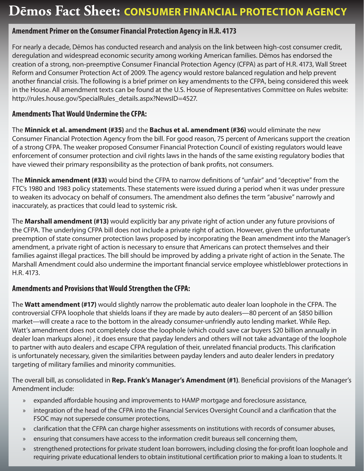# **Dēmos Fact Sheet: Consumer Financial Protection Agency**

## **Amendment Primer on the Consumer Financial Protection Agency in H.R. 4173**

For nearly a decade, Dēmos has conducted research and analysis on the link between high-cost consumer credit, deregulation and widespread economic security among working American families. Dēmos has endorsed the creation of a strong, non-preemptive Consumer Financial Protection Agency (CFPA) as part of H.R. 4173, Wall Street Reform and Consumer Protection Act of 2009. The agency would restore balanced regulation and help prevent another financial crisis. The following is a brief primer on key amendments to the CFPA, being considered this week in the House. All amendment texts can be found at the U.S. House of Representatives Committee on Rules website: http://rules.house.gov/SpecialRules\_details.aspx?NewsID=4527.

## **Amendments That Would Undermine the CFPA:**

The **Minnick et al. amendment (#35)** and the **Bachus et al. amendment (#36)** would eliminate the new Consumer Financial Protection Agency from the bill. For good reason, 75 percent of Americans support the creation of a strong CFPA. The weaker proposed Consumer Financial Protection Council of existing regulators would leave enforcement of consumer protection and civil rights laws in the hands of the same existing regulatory bodies that have viewed their primary responsibility as the protection of bank profits, not consumers.

The **Minnick amendment (#33)** would bind the CFPA to narrow definitions of "unfair" and "deceptive" from the FTC's 1980 and 1983 policy statements. These statements were issued during a period when it was under pressure to weaken its advocacy on behalf of consumers. The amendment also defines the term "abusive" narrowly and inaccurately, as practices that could lead to systemic risk.

The **Marshall amendment (#13)** would explicitly bar any private right of action under any future provisions of the CFPA. The underlying CFPA bill does not include a private right of action. However, given the unfortunate preemption of state consumer protection laws proposed by incorporating the Bean amendment into the Manager's amendment, a private right of action is necessary to ensure that Americans can protect themselves and their families against illegal practices. The bill should be improved by adding a private right of action in the Senate. The Marshall Amendment could also undermine the important financial service employee whistleblower protections in H.R. 4173.

## **Amendments and Provisions that Would Strengthen the CFPA:**

The **Watt amendment (#17)** would slightly narrow the problematic auto dealer loan loophole in the CFPA. The controversial CFPA loophole that shields loans if they are made by auto dealers—80 percent of an \$850 billion market—will create a race to the bottom in the already consumer-unfriendly auto lending market. While Rep. Watt's amendment does not completely close the loophole (which could save car buyers \$20 billion annually in dealer loan markups alone) , it does ensure that payday lenders and others will not take advantage of the loophole to partner with auto dealers and escape CFPA regulation of their, unrelated financial products. This clarification is unfortunately necessary, given the similarities between payday lenders and auto dealer lenders in predatory targeting of military families and minority communities.

The overall bill, as consolidated in **Rep. Frank's Manager's Amendment (#1)**. Beneficial provisions of the Manager's Amendment include:

- expanded affordable housing and improvements to HAMP mortgage and foreclosure assistance, »
- integration of the head of the CFPA into the Financial Services Oversight Council and a clarification that the FSOC may not supersede consumer protections, »
- clarification that the CFPA can charge higher assessments on institutions with records of consumer abuses, »
- ensuring that consumers have access to the information credit bureaus sell concerning them, »
- strengthened protections for private student loan borrowers, including closing the for-profit loan loophole and requiring private educational lenders to obtain institutional certification prior to making a loan to students. It »